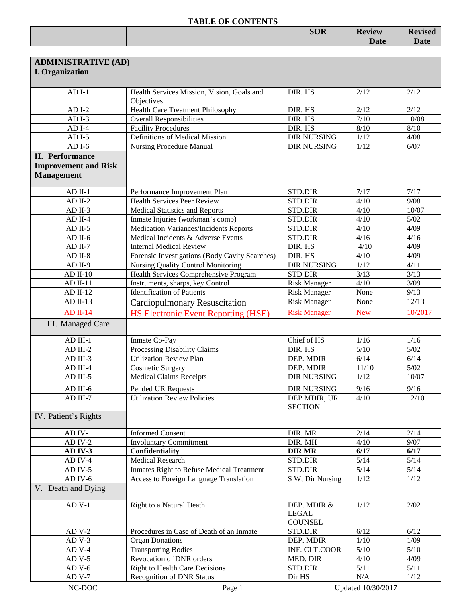|  | <b>SOR</b> | <b>Review</b> | –<br><b>evised</b><br>17C |
|--|------------|---------------|---------------------------|
|  |            | <b>Date</b>   |                           |
|  |            |               |                           |

| <b>ADMINISTRATIVE (AD)</b>  |                                                          |                     |            |         |
|-----------------------------|----------------------------------------------------------|---------------------|------------|---------|
| <b>I.</b> Organization      |                                                          |                     |            |         |
|                             |                                                          |                     |            |         |
| $ADI-1$                     | Health Services Mission, Vision, Goals and<br>Objectives | DIR. HS             | 2/12       | 2/12    |
| $ADI-2$                     | Health Care Treatment Philosophy                         | DIR. HS             | 2/12       | 2/12    |
| $ADI-3$                     | <b>Overall Responsibilities</b>                          | DIR. HS             | 7/10       | 10/08   |
| $ADI-4$                     | <b>Facility Procedures</b>                               | DIR. HS             | 8/10       | $8/10$  |
| $ADI-5$                     | Definitions of Medical Mission                           | <b>DIR NURSING</b>  | 1/12       | 4/08    |
| $ADI-6$                     | <b>Nursing Procedure Manual</b>                          | <b>DIR NURSING</b>  | 1/12       | 6/07    |
| <b>II.</b> Performance      |                                                          |                     |            |         |
| <b>Improvement and Risk</b> |                                                          |                     |            |         |
| <b>Management</b>           |                                                          |                     |            |         |
|                             |                                                          |                     |            |         |
| $AD$ II-1                   | Performance Improvement Plan                             | <b>STD.DIR</b>      | 7/17       | 7/17    |
| $AD$ II-2                   | <b>Health Services Peer Review</b>                       | STD.DIR             | 4/10       | 9/08    |
| $AD II-3$                   | <b>Medical Statistics and Reports</b>                    | <b>STD.DIR</b>      | 4/10       | 10/07   |
| $AD$ II-4                   | Inmate Injuries (workman's comp)                         | <b>STD.DIR</b>      | 4/10       | $5/02$  |
| $AD$ II-5                   | Medication Variances/Incidents Reports                   | <b>STD.DIR</b>      | 4/10       | 4/09    |
| $AD$ II-6                   | Medical Incidents & Adverse Events                       | STD.DIR             | 4/16       | 4/16    |
| $AD$ II-7                   | <b>Internal Medical Review</b>                           | DIR. HS             | 4/10       | 4/09    |
| $AD$ II-8                   | Forensic Investigations (Body Cavity Searches)           | DIR. HS             | 4/10       | 4/09    |
| $AD II-9$                   | <b>Nursing Quality Control Monitoring</b>                | <b>DIR NURSING</b>  | 1/12       | 4/11    |
| $AD II-10$                  | Health Services Comprehensive Program                    | <b>STD DIR</b>      | 3/13       | 3/13    |
| $AD II-11$                  | Instruments, sharps, key Control                         | <b>Risk Manager</b> | 4/10       | 3/09    |
| $AD II-12$                  | <b>Identification of Patients</b>                        | <b>Risk Manager</b> | None       | 9/13    |
| $AD II-13$                  | <b>Cardiopulmonary Resuscitation</b>                     | <b>Risk Manager</b> | None       | 12/13   |
| $AD II-14$                  | <b>HS Electronic Event Reporting (HSE)</b>               | <b>Risk Manager</b> | <b>New</b> | 10/2017 |
| III. Managed Care           |                                                          |                     |            |         |
|                             |                                                          |                     |            |         |
| $AD III-1$                  | Inmate Co-Pay                                            | Chief of HS         | 1/16       | 1/16    |
| $AD III-2$                  | <b>Processing Disability Claims</b>                      | DIR. HS             | 5/10       | $5/02$  |
| AD III-3                    | <b>Utilization Review Plan</b>                           | DEP. MDIR           | 6/14       | 6/14    |
| AD III-4                    | <b>Cosmetic Surgery</b>                                  | DEP. MDIR           | 11/10      | $5/02$  |
| AD III-5                    | <b>Medical Claims Receipts</b>                           | <b>DIR NURSING</b>  | 1/12       | 10/07   |
| $AD$ III- $6$               | Pended UR Requests                                       | <b>DIR NURSING</b>  | 9/16       | 9/16    |
| $AD III-7$                  | <b>Utilization Review Policies</b>                       | DEP MDIR, UR        | 4/10       | 12/10   |
|                             |                                                          | <b>SECTION</b>      |            |         |
| IV. Patient's Rights        |                                                          |                     |            |         |
| AD IV-1                     | <b>Informed Consent</b>                                  | DIR. MR             | 2/14       | 2/14    |
| AD IV-2                     | <b>Involuntary Commitment</b>                            | DIR. MH             | 4/10       | 9/07    |
| AD IV-3                     | Confidentiality                                          | <b>DIR MR</b>       | 6/17       | 6/17    |
| AD IV-4                     | <b>Medical Research</b>                                  | <b>STD.DIR</b>      | $5/14$     | $5/14$  |
| AD IV-5                     | <b>Inmates Right to Refuse Medical Treatment</b>         | STD.DIR             | $5/14$     | $5/14$  |
| AD IV- $6$                  | <b>Access to Foreign Language Translation</b>            | S W, Dir Nursing    | 1/12       | $1/12$  |
| V. Death and Dying          |                                                          |                     |            |         |
| $AD V-1$                    | Right to a Natural Death                                 | DEP. MDIR &         | 1/12       | 2/02    |
|                             |                                                          | <b>LEGAL</b>        |            |         |
|                             |                                                          | <b>COUNSEL</b>      |            |         |
| $ADV-2$                     | Procedures in Case of Death of an Inmate                 | <b>STD.DIR</b>      | 6/12       | 6/12    |
| $ADV-3$                     | <b>Organ Donations</b>                                   | DEP. MDIR           | $1/10$     | 1/09    |
| $ADV-4$                     | <b>Transporting Bodies</b>                               | INF. CLT.COOR       | 5/10       | $5/10$  |
| AD V-5                      | Revocation of DNR orders                                 | MED. DIR            | 4/10       | 4/09    |
| $ADV-6$                     | <b>Right to Health Care Decisions</b>                    | <b>STD.DIR</b>      | 5/11       | 5/11    |
| $ADV-7$                     | <b>Recognition of DNR Status</b>                         | Dir HS              | N/A        | 1/12    |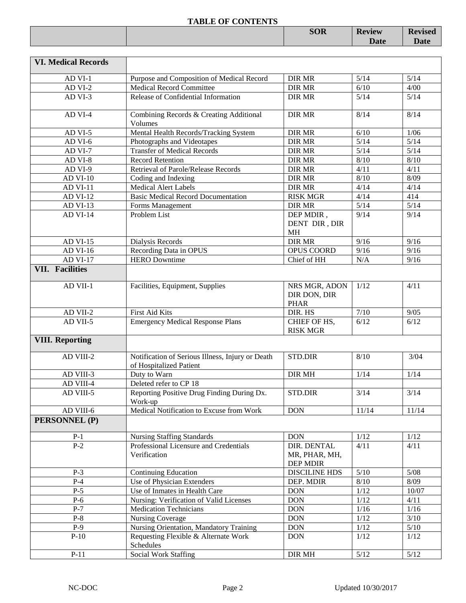|  | <b>SOR</b> | <b>Review</b> | <b>Revised</b> |
|--|------------|---------------|----------------|
|  |            | <b>Date</b>   | <b>Date</b>    |
|  |            |               |                |

| <b>VI. Medical Records</b> |                                                                             |                                                 |        |        |
|----------------------------|-----------------------------------------------------------------------------|-------------------------------------------------|--------|--------|
| AD VI-1                    | Purpose and Composition of Medical Record                                   | <b>DIR MR</b>                                   | 5/14   | 5/14   |
| AD VI-2                    | <b>Medical Record Committee</b>                                             | <b>DIR MR</b>                                   | 6/10   | 4/00   |
| AD VI-3                    | Release of Confidential Information                                         | <b>DIR MR</b>                                   | 5/14   | $5/14$ |
| AD VI-4                    | Combining Records & Creating Additional<br>Volumes                          | <b>DIR MR</b>                                   | 8/14   | 8/14   |
| AD VI-5                    | Mental Health Records/Tracking System                                       | <b>DIR MR</b>                                   | 6/10   | 1/06   |
| AD VI-6                    | Photographs and Videotapes                                                  | <b>DIR MR</b>                                   | $5/14$ | $5/14$ |
| AD VI-7                    | <b>Transfer of Medical Records</b>                                          | <b>DIR MR</b>                                   | $5/14$ | $5/14$ |
| AD VI-8                    | <b>Record Retention</b>                                                     | <b>DIR MR</b>                                   | 8/10   | 8/10   |
| AD VI-9                    | Retrieval of Parole/Release Records                                         | <b>DIR MR</b>                                   | 4/11   | 4/11   |
| <b>AD VI-10</b>            | Coding and Indexing                                                         | <b>DIR MR</b>                                   | 8/10   | 8/09   |
| <b>AD VI-11</b>            | <b>Medical Alert Labels</b>                                                 | <b>DIR MR</b>                                   | 4/14   | 4/14   |
| <b>AD VI-12</b>            | <b>Basic Medical Record Documentation</b>                                   | <b>RISK MGR</b>                                 | 4/14   | 414    |
| AD VI-13                   | Forms Management                                                            | <b>DIR MR</b>                                   | 5/14   | $5/14$ |
| <b>AD VI-14</b>            | Problem List                                                                | DEP MDIR,<br>DENT DIR, DIR<br><b>MH</b>         | 9/14   | 9/14   |
| AD VI-15                   | Dialysis Records                                                            | <b>DIR MR</b>                                   | 9/16   | 9/16   |
| AD VI-16                   | Recording Data in OPUS                                                      | OPUS COORD                                      | 9/16   | 9/16   |
| <b>AD VI-17</b>            | <b>HERO</b> Downtime                                                        | Chief of HH                                     | N/A    | 9/16   |
| <b>VII. Facilities</b>     |                                                                             |                                                 |        |        |
|                            |                                                                             |                                                 |        |        |
| AD VII-1                   | Facilities, Equipment, Supplies                                             | NRS MGR, ADON<br>DIR DON, DIR<br><b>PHAR</b>    | 1/12   | 4/11   |
| AD VII-2                   | First Aid Kits                                                              | DIR. HS                                         | $7/10$ | 9/05   |
| AD VII-5                   | <b>Emergency Medical Response Plans</b>                                     | CHIEF OF HS,<br><b>RISK MGR</b>                 | 6/12   | 6/12   |
| <b>VIII. Reporting</b>     |                                                                             |                                                 |        |        |
| AD VIII-2                  | Notification of Serious Illness, Injury or Death<br>of Hospitalized Patient | <b>STD.DIR</b>                                  | 8/10   | 3/04   |
| AD VIII-3                  | Duty to Warn                                                                | <b>DIR MH</b>                                   | 1/14   | 1/14   |
| AD VIII-4                  | Deleted refer to CP 18                                                      |                                                 |        |        |
| AD VIII-5                  | Reporting Positive Drug Finding During Dx.<br>Work-up                       | <b>STD.DIR</b>                                  | 3/14   | 3/14   |
| AD VIII-6                  | Medical Notification to Excuse from Work                                    | <b>DON</b>                                      | 11/14  | 11/14  |
| PERSONNEL (P)              |                                                                             |                                                 |        |        |
| $P-1$                      | <b>Nursing Staffing Standards</b>                                           | <b>DON</b>                                      | 1/12   | 1/12   |
| $P-2$                      | Professional Licensure and Credentials<br>Verification                      | DIR. DENTAL<br>MR, PHAR, MH,<br><b>DEP MDIR</b> | 4/11   | 4/11   |
| $P-3$                      | <b>Continuing Education</b>                                                 | <b>DISCILINE HDS</b>                            | $5/10$ | $5/08$ |
| $P-4$                      | Use of Physician Extenders                                                  | DEP. MDIR                                       | $8/10$ | 8/09   |
| $P-5$                      | Use of Inmates in Health Care                                               | <b>DON</b>                                      | $1/12$ | 10/07  |
| $P-6$                      | Nursing: Verification of Valid Licenses                                     | <b>DON</b>                                      | $1/12$ | 4/11   |
| $P-7$                      | <b>Medication Technicians</b>                                               | <b>DON</b>                                      | 1/16   | 1/16   |
| $P-8$                      | <b>Nursing Coverage</b>                                                     | <b>DON</b>                                      | $1/12$ | $3/10$ |
| $P-9$                      | Nursing Orientation, Mandatory Training                                     | <b>DON</b>                                      | 1/12   | $5/10$ |
| $P-10$                     | Requesting Flexible & Alternate Work<br>Schedules                           | <b>DON</b>                                      | 1/12   | 1/12   |
| $P-11$                     | <b>Social Work Staffing</b>                                                 | DIR MH                                          | $5/12$ | $5/12$ |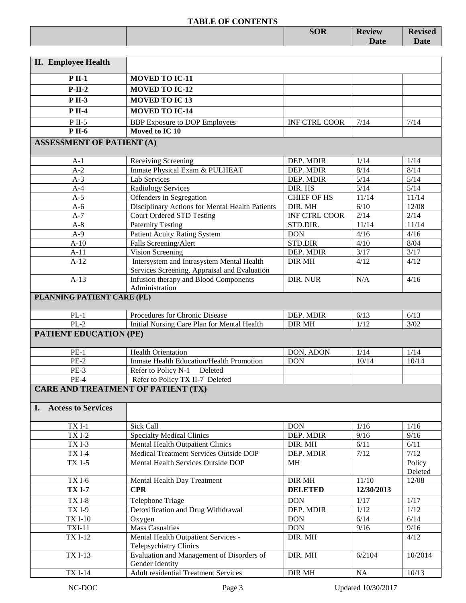|                                                                     | <b>SOR</b> | <b>Review</b><br><b>Date</b> | <b>Revised</b><br><b>Date</b> |
|---------------------------------------------------------------------|------------|------------------------------|-------------------------------|
| $\mathbf{r}$<br>$\mathbf{v}$ $\mathbf{v}$ $\mathbf{v}$ $\mathbf{v}$ |            |                              |                               |

| <b>II.</b> Employee Health                |                                                                                           |                            |              |              |
|-------------------------------------------|-------------------------------------------------------------------------------------------|----------------------------|--------------|--------------|
| $P$ II-1                                  | <b>MOVED TO IC-11</b>                                                                     |                            |              |              |
| $P-II-2$                                  | <b>MOVED TO IC-12</b>                                                                     |                            |              |              |
| $P II-3$                                  | <b>MOVED TO IC13</b>                                                                      |                            |              |              |
| $P$ II-4                                  | <b>MOVED TO IC-14</b>                                                                     |                            |              |              |
|                                           |                                                                                           |                            |              |              |
| $P$ II-5<br><b>P</b> II-6                 | <b>BBP</b> Exposure to DOP Employees<br>Moved to IC 10                                    | <b>INF CTRL COOR</b>       | 7/14         | 7/14         |
|                                           |                                                                                           |                            |              |              |
| <b>ASSESSMENT OF PATIENT (A)</b>          |                                                                                           |                            |              |              |
| $A-1$                                     | Receiving Screening                                                                       | DEP. MDIR                  | 1/14         | 1/14         |
| $A-2$                                     | Inmate Physical Exam & PULHEAT                                                            | DEP. MDIR                  | 8/14         | 8/14         |
| $A-3$                                     | Lab Services                                                                              | DEP. MDIR                  | 5/14         | $5/14$       |
| $A-4$                                     | <b>Radiology Services</b>                                                                 | DIR. HS                    | 5/14         | 5/14         |
| $A-5$                                     | Offenders in Segregation                                                                  | <b>CHIEF OF HS</b>         | 11/14        | 11/14        |
| $A-6$                                     | Disciplinary Actions for Mental Health Patients                                           | DIR. MH                    | 6/10         | 12/08        |
| $A-7$                                     | <b>Court Ordered STD Testing</b>                                                          | <b>INF CTRL COOR</b>       | 2/14         | 2/14         |
| $A-8$                                     | <b>Paternity Testing</b>                                                                  | STD.DIR.                   | 11/14        | 11/14        |
| $A-9$                                     | <b>Patient Acuity Rating System</b>                                                       | <b>DON</b>                 | 4/16         | 4/16         |
| $A-10$                                    | Falls Screening/Alert                                                                     | <b>STD.DIR</b>             | 4/10         | 8/04         |
| $A-11$                                    | Vision Screening                                                                          | DEP. MDIR                  | 3/17         | 3/17         |
| $A-12$                                    | Intersystem and Intrasystem Mental Health<br>Services Screening, Appraisal and Evaluation | DIR MH                     | 4/12         | 4/12         |
| $A-13$                                    | Infusion therapy and Blood Components                                                     | DIR. NUR                   | N/A          | 4/16         |
|                                           | Administration                                                                            |                            |              |              |
| PLANNING PATIENT CARE (PL)                |                                                                                           |                            |              |              |
|                                           |                                                                                           |                            |              |              |
| $PL-1$<br>$PL-2$                          | Procedures for Chronic Disease                                                            | DEP. MDIR<br><b>DIR MH</b> | 6/13<br>1/12 | 6/13<br>3/02 |
|                                           | Initial Nursing Care Plan for Mental Health                                               |                            |              |              |
| <b>PATIENT EDUCATION (PE)</b>             |                                                                                           |                            |              |              |
| $PE-1$                                    | <b>Health Orientation</b>                                                                 | DON, ADON                  | 1/14         | 1/14         |
| $PE-2$                                    | Inmate Health Education/Health Promotion                                                  | <b>DON</b>                 | 10/14        | 10/14        |
| $PE-3$                                    | Refer to Policy N-1<br>Deleted                                                            |                            |              |              |
| $PE-4$                                    | Refer to Policy TX II-7 Deleted                                                           |                            |              |              |
| <b>CARE AND TREATMENT OF PATIENT (TX)</b> |                                                                                           |                            |              |              |
|                                           |                                                                                           |                            |              |              |
| I. Access to Services                     |                                                                                           |                            |              |              |
| $TXI-1$                                   | Sick Call                                                                                 | <b>DON</b>                 | 1/16         | 1/16         |
| <b>TXI-2</b>                              | <b>Specialty Medical Clinics</b>                                                          | DEP. MDIR                  | 9/16         | 9/16         |
| $TXI-3$                                   | Mental Health Outpatient Clinics                                                          | DIR. MH                    | 6/11         | 6/11         |
| $\overline{TX}$ I-4                       | Medical Treatment Services Outside DOP                                                    | DEP. MDIR                  | 7/12         | 7/12         |
| TX 1-5                                    | Mental Health Services Outside DOP                                                        | МH                         |              | Policy       |
|                                           |                                                                                           |                            |              | Deleted      |
| <b>TXI-6</b>                              | Mental Health Day Treatment                                                               | DIR MH                     | 11/10        | 12/08        |
| <b>TX I-7</b>                             | <b>CPR</b>                                                                                | <b>DELETED</b>             | 12/30/2013   |              |
| <b>TXI-8</b>                              | Telephone Triage                                                                          | DON                        | 1/17         | 1/17         |
| $TXI-9$                                   | Detoxification and Drug Withdrawal                                                        | DEP. MDIR                  | $1/12$       | 1/12         |
| <b>TXI-10</b>                             | Oxygen                                                                                    | <b>DON</b>                 | 6/14         | 6/14         |
| <b>TXI-11</b>                             | <b>Mass Casualties</b>                                                                    | <b>DON</b>                 | 9/16         | 9/16         |
| <b>TXI-12</b>                             | Mental Health Outpatient Services -<br><b>Telepsychiatry Clinics</b>                      | DIR. MH                    |              | 4/12         |
| <b>TXI-13</b>                             | Evaluation and Management of Disorders of                                                 | DIR. MH                    | 6/2104       | 10/2014      |
|                                           | Gender Identity                                                                           |                            |              |              |
| <b>TXI-14</b>                             | <b>Adult residential Treatment Services</b>                                               | DIR MH                     | $\rm NA$     | 10/13        |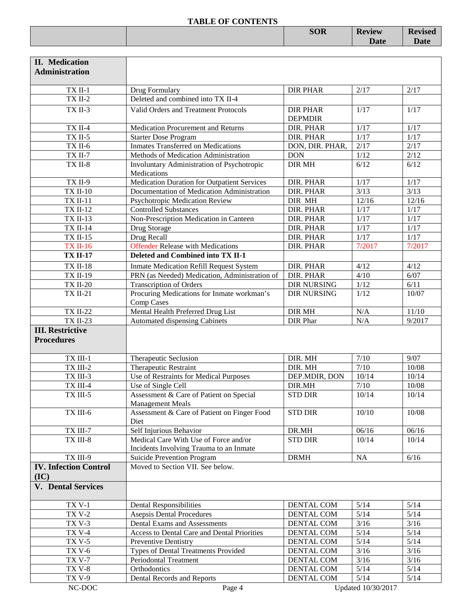| THEFT OF CONTRACTS |            |               |                                          |
|--------------------|------------|---------------|------------------------------------------|
|                    | <b>SOR</b> | <b>Review</b> | $\blacksquare$<br>$\sim$ v 15 $\sigma$ u |
|                    |            | Date          |                                          |
|                    |            |               |                                          |

| <b>II.</b> Medication<br><b>Administration</b> |                                                                    |                                   |                    |        |
|------------------------------------------------|--------------------------------------------------------------------|-----------------------------------|--------------------|--------|
|                                                |                                                                    |                                   |                    |        |
| TX II-1                                        | Drug Formulary                                                     | <b>DIR PHAR</b>                   | 2/17               | 2/17   |
| $TXII-2$                                       | Deleted and combined into TX II-4                                  |                                   |                    |        |
| TX II-3                                        | Valid Orders and Treatment Protocols                               | <b>DIR PHAR</b><br><b>DEPMDIR</b> | 1/17               | 1/17   |
| TX II-4                                        | Medication Procurement and Returns                                 | DIR. PHAR                         | 1/17               | 1/17   |
| $TX$ II-5                                      | <b>Starter Dose Program</b>                                        | DIR. PHAR                         | 1/17               | $1/17$ |
| TX II-6                                        | <b>Inmates Transferred on Medications</b>                          | DON, DIR. PHAR,                   | 2/17               | 2/17   |
| TX II-7                                        | Methods of Medication Administration                               | <b>DON</b>                        | 1/12               | 2/12   |
| TX II-8                                        | Involuntary Administration of Psychotropic<br>Medications          | <b>DIR MH</b>                     | 6/12               | 6/12   |
| TX II-9                                        | Medication Duration for Outpatient Services                        | DIR. PHAR                         | 1/17               | 1/17   |
| <b>TX II-10</b>                                | Documentation of Medication Administration                         | DIR. PHAR                         | 3/13               | 3/13   |
| <b>TX II-11</b>                                | Psychotropic Medication Review                                     | DIR MH                            | 12/16              | 12/16  |
| <b>TX II-12</b>                                | <b>Controlled Substances</b>                                       | DIR. PHAR                         | 1/17               | $1/17$ |
| <b>TX II-13</b>                                | Non-Prescription Medication in Canteen                             | DIR. PHAR                         | 1/17               | 1/17   |
| <b>TX II-14</b>                                | Drug Storage                                                       | DIR. PHAR                         | $1/17$             | 1/17   |
| <b>TX II-15</b>                                | Drug Recall                                                        | DIR. PHAR                         | 1/17               | 1/17   |
| <b>TX II-16</b>                                | <b>Offender Release with Medications</b>                           | DIR. PHAR                         | 7/2017             | 7/2017 |
| <b>TX II-17</b>                                | Deleted and Combined into TX II-1                                  |                                   |                    |        |
| <b>TX II-18</b>                                | <b>Inmate Medication Refill Request System</b>                     | DIR. PHAR                         | 4/12               | 4/12   |
| <b>TX II-19</b>                                | PRN (as Needed) Medication, Administration of                      | DIR. PHAR                         | 4/10               | 6/07   |
| <b>TX II-20</b>                                | <b>Transcription of Orders</b>                                     | <b>DIR NURSING</b>                | 1/12               | 6/11   |
| <b>TX II-21</b>                                | Procuring Medications for Inmate workman's<br>Comp Cases           | <b>DIR NURSING</b>                | 1/12               | 10/07  |
| <b>TX II-22</b>                                | Mental Health Preferred Drug List                                  | <b>DIR MH</b>                     | N/A                | 11/10  |
| <b>TX II-23</b>                                | Automated dispensing Cabinets                                      | <b>DIR</b> Phar                   | N/A                | 9/2017 |
| <b>III. Restrictive</b>                        |                                                                    |                                   |                    |        |
| <b>Procedures</b>                              |                                                                    |                                   |                    |        |
| TX III-1                                       | Therapeutic Seclusion                                              | DIR. MH                           | $7/10$             | 9/07   |
| $TX$ III-2                                     | Therapeutic Restraint                                              | DIR. MH                           | $7/10$             | 10/08  |
| TX III-3                                       | Use of Restraints for Medical Purposes                             | DEP.MDIR, DON                     | 10/14              | 10/14  |
| $TX$ III-4 $\,$                                | Use of Single Cell                                                 | DIR.MH                            | $7/10$             | 10/08  |
| TX III-5                                       | Assessment & Care of Patient on Special<br><b>Management Meals</b> | <b>STD DIR</b>                    | 10/14              | 10/14  |
| TX III-6                                       | Assessment & Care of Patient on Finger Food<br>Diet                | <b>STD DIR</b>                    | 10/10              | 10/08  |
| TX III-7                                       | Self Injurious Behavior                                            | DR.MH                             | 06/16              | 06/16  |
| TX III-8                                       | Medical Care With Use of Force and/or                              | <b>STD DIR</b>                    | 10/14              | 10/14  |
|                                                | Incidents Involving Trauma to an Inmate                            |                                   |                    |        |
| TX III-9                                       | Suicide Prevention Program                                         | <b>DRMH</b>                       | NA                 | 6/16   |
| <b>IV. Infection Control</b><br>(IC)           | Moved to Section VII. See below.                                   |                                   |                    |        |
| <b>V.</b> Dental Services                      |                                                                    |                                   |                    |        |
| <b>TX V-1</b>                                  | <b>Dental Responsibilities</b>                                     | DENTAL COM                        | $5/14$             | $5/14$ |
| <b>TX V-2</b>                                  | <b>Asepsis Dental Procedures</b>                                   | DENTAL COM                        | 5/14               | $5/14$ |
| $TXV-3$                                        | Dental Exams and Assessments                                       | DENTAL COM                        | 3/16               | 3/16   |
| <b>TX V-4</b>                                  | Access to Dental Care and Dental Priorities                        | DENTAL COM                        | 5/14               | $5/14$ |
| <b>TX V-5</b>                                  | Preventive Dentistry                                               | DENTAL COM                        | 5/14               | $5/14$ |
| <b>TX V-6</b>                                  | Types of Dental Treatments Provided                                | DENTAL COM                        | 3/16               | $3/16$ |
| <b>TX V-7</b>                                  | Periodontal Treatment                                              | DENTAL COM                        | 3/16               | $3/16$ |
| <b>TX V-8</b>                                  | Orthodontics                                                       | DENTAL COM                        | $5/14$             | $5/14$ |
| <b>TX V-9</b>                                  | Dental Records and Reports                                         | DENTAL COM                        | $5/14$             | $5/14$ |
| $NC-DOC$                                       | Page 4                                                             |                                   | Updated 10/30/2017 |        |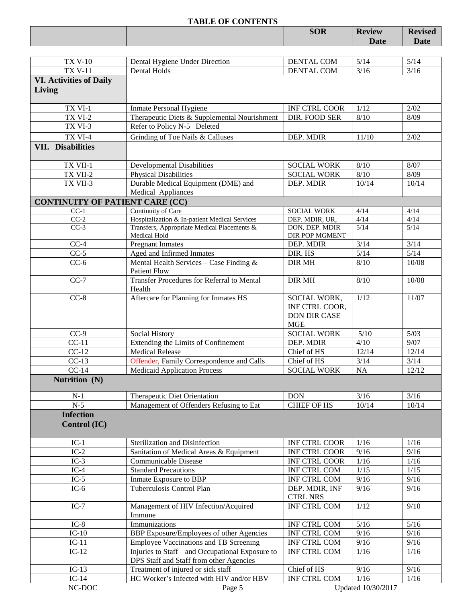|                                                  | <b>TABLE OF CONTENTS</b>                                                                  |                                                                     |               |                |
|--------------------------------------------------|-------------------------------------------------------------------------------------------|---------------------------------------------------------------------|---------------|----------------|
|                                                  |                                                                                           | <b>SOR</b>                                                          | <b>Review</b> | <b>Revised</b> |
|                                                  |                                                                                           |                                                                     | Date          | Date           |
|                                                  |                                                                                           |                                                                     |               |                |
| <b>TX V-10</b>                                   | Dental Hygiene Under Direction                                                            | DENTAL COM                                                          | 5/14          | 5/14           |
| <b>TX V-11</b>                                   | Dental Holds                                                                              | <b>DENTAL COM</b>                                                   | $3/16$        | 3/16           |
| <b>VI. Activities of Daily</b>                   |                                                                                           |                                                                     |               |                |
| Living                                           |                                                                                           |                                                                     |               |                |
|                                                  |                                                                                           |                                                                     |               |                |
| TX VI-1                                          | <b>Inmate Personal Hygiene</b>                                                            | INF CTRL COOR                                                       | 1/12          | 2/02           |
| TX VI-2                                          | Therapeutic Diets & Supplemental Nourishment                                              | DIR. FOOD SER                                                       | 8/10          | 8/09           |
| TX VI-3                                          | Refer to Policy N-5 Deleted                                                               |                                                                     |               |                |
| TX VI-4                                          | Grinding of Toe Nails & Calluses                                                          | DEP. MDIR                                                           | 11/10         | 2/02           |
| <b>VII. Disabilities</b>                         |                                                                                           |                                                                     |               |                |
|                                                  |                                                                                           |                                                                     |               |                |
| TX VII-1                                         | <b>Developmental Disabilities</b>                                                         | <b>SOCIAL WORK</b>                                                  | 8/10          | 8/07           |
| TX VII-2                                         | <b>Physical Disabilities</b>                                                              | <b>SOCIAL WORK</b>                                                  | 8/10          | 8/09           |
| TX VII-3                                         | Durable Medical Equipment (DME) and                                                       | DEP. MDIR                                                           | 10/14         | 10/14          |
|                                                  | Medical Appliances                                                                        |                                                                     |               |                |
| <b>CONTINUITY OF PATIENT CARE (CC)</b><br>$CC-1$ | Continuity of Care                                                                        | <b>SOCIAL WORK</b>                                                  | 4/14          | 4/14           |
| $CC-2$                                           | Hospitalization & In-patient Medical Services                                             | DEP. MDIR, UR,                                                      | 4/14          | 4/14           |
| $CC-3$                                           | Transfers, Appropriate Medical Placements &                                               | DON, DEP. MDIR                                                      | $5/14$        | 5/14           |
|                                                  | Medical Hold                                                                              | DIR POP MGMENT                                                      |               |                |
| $CC-4$                                           | <b>Pregnant Inmates</b>                                                                   | DEP. MDIR                                                           | 3/14          | 3/14           |
| $CC-5$                                           | Aged and Infirmed Inmates                                                                 | DIR. HS                                                             | 5/14          | $5/14$         |
| $CC-6$                                           | Mental Health Services - Case Finding &<br><b>Patient Flow</b>                            | <b>DIR MH</b>                                                       | 8/10          | 10/08          |
| $CC-7$                                           | Transfer Procedures for Referral to Mental<br>Health                                      | <b>DIR MH</b>                                                       | 8/10          | 10/08          |
| $CC-8$                                           | Aftercare for Planning for Inmates HS                                                     | SOCIAL WORK,<br>INF CTRL COOR,<br><b>DON DIR CASE</b><br><b>MGE</b> | 1/12          | 11/07          |
| $CC-9$                                           | Social History                                                                            | <b>SOCIAL WORK</b>                                                  | $5/10$        | $5/03$         |
| $CC-11$                                          | Extending the Limits of Confinement                                                       | DEP. MDIR                                                           | 4/10          | 9/07           |
| $CC-12$                                          | <b>Medical Release</b>                                                                    | Chief of HS                                                         | 12/14         | 12/14          |
| $CC-13$                                          | <b>Offender, Family Correspondence and Calls</b>                                          | Chief of HS                                                         | 3/14          | 3/14           |
| $CC-14$                                          | <b>Medicaid Application Process</b>                                                       | <b>SOCIAL WORK</b>                                                  | <b>NA</b>     | 12/12          |
| Nutrition (N)                                    |                                                                                           |                                                                     |               |                |
| $N-1$                                            | Therapeutic Diet Orientation                                                              | <b>DON</b>                                                          | 3/16          | 3/16           |
| $N-5$                                            | Management of Offenders Refusing to Eat                                                   | <b>CHIEF OF HS</b>                                                  | 10/14         | 10/14          |
| <b>Infection</b><br>Control (IC)                 |                                                                                           |                                                                     |               |                |
| $IC-1$                                           | Sterilization and Disinfection                                                            | <b>INF CTRL COOR</b>                                                | 1/16          | 1/16           |
| $IC-2$                                           | Sanitation of Medical Areas & Equipment                                                   | <b>INF CTRL COOR</b>                                                | 9/16          | 9/16           |
| $IC-3$                                           | Communicable Disease                                                                      | INF CTRL COOR                                                       | 1/16          | 1/16           |
| $IC-4$                                           | <b>Standard Precautions</b>                                                               | INF CTRL COM                                                        | 1/15          | 1/15           |
| $IC-5$                                           | Inmate Exposure to BBP                                                                    | INF CTRL COM                                                        | 9/16          | 9/16           |
| $IC-6$                                           | Tuberculosis Control Plan                                                                 | DEP. MDIR, INF<br><b>CTRL NRS</b>                                   | 9/16          | 9/16           |
| $IC-7$                                           | Management of HIV Infection/Acquired<br>Immune                                            | <b>INF CTRL COM</b>                                                 | 1/12          | 9/10           |
| $IC-8$                                           | Immunizations                                                                             | INF CTRL COM                                                        | $5/16$        | $5/16$         |
| $IC-10$                                          | BBP Exposure/Employees of other Agencies                                                  | INF CTRL COM                                                        | 9/16          | 9/16           |
| $IC-11$                                          | Employee Vaccinations and TB Screening                                                    | INF CTRL COM                                                        | 9/16          | 9/16           |
| $IC-12$                                          | Injuries to Staff and Occupational Exposure to<br>DPS Staff and Staff from other Agencies | INF CTRL COM                                                        | 1/16          | 1/16           |
| $IC-13$                                          | Treatment of injured or sick staff                                                        | Chief of HS                                                         | 9/16          | 9/16           |
| $IC-14$                                          | HC Worker's Infected with HIV and/or HBV                                                  | <b>INF CTRL COM</b>                                                 | 1/16          | 1/16           |